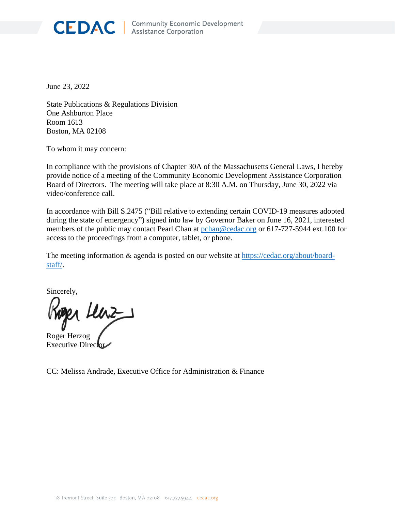

June 23, 2022

State Publications & Regulations Division One Ashburton Place Room 1613 Boston, MA 02108

To whom it may concern:

In compliance with the provisions of Chapter 30A of the Massachusetts General Laws, I hereby provide notice of a meeting of the Community Economic Development Assistance Corporation Board of Directors. The meeting will take place at 8:30 A.M. on Thursday, June 30, 2022 via video/conference call.

In accordance with Bill S.2475 ("Bill relative to extending certain COVID-19 measures adopted during the state of emergency") signed into law by Governor Baker on June 16, 2021, interested members of the public may contact Pearl Chan at  $pchan@cedac.org$  or 617-727-5944 ext.100 for access to the proceedings from a computer, tablet, or phone.

The meeting information & agenda is posted on our website at [https://cedac.org/about/board](https://cedac.org/about/board-staff/)[staff/.](https://cedac.org/about/board-staff/)

Sincerely,

per lenz

Roger Herzog Executive Direct

CC: Melissa Andrade, Executive Office for Administration & Finance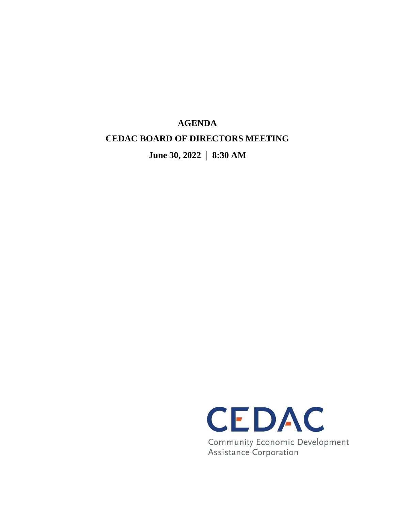## **AGENDA CEDAC BOARD OF DIRECTORS MEETING**

**June 30, 2022 | 8:30 AM**